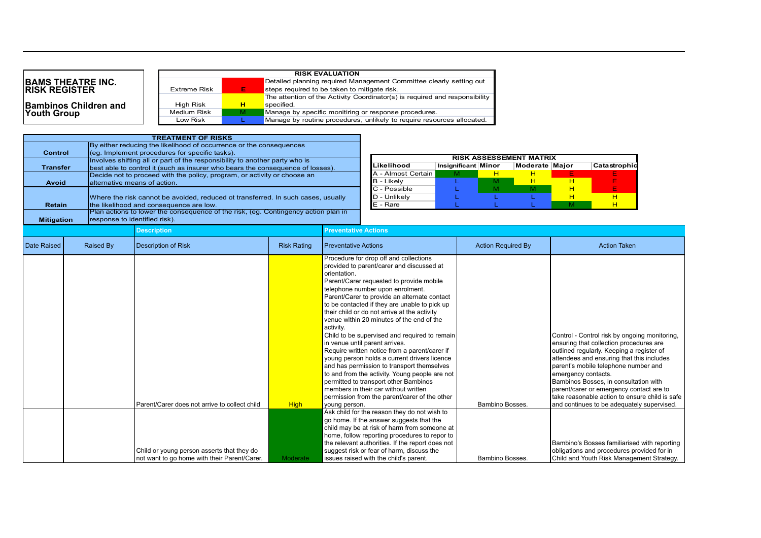## **BAMS THEATRE INC. RISK REGISTER**

**Bambinos Children and** 

**Youth Group** 

|                     |   | <b>RISK EVALUATION</b>                                                      |
|---------------------|---|-----------------------------------------------------------------------------|
|                     |   | Detailed planning required Management Committee clearly setting out         |
| <b>Extreme Risk</b> | Ð | steps required to be taken to mitigate risk.                                |
|                     |   | The attention of the Activity Coordinator(s) is required and responsibility |
| High Risk           | н | specified.                                                                  |
| Medium Risk         | M | Manage by specific monitiring or response procedures.                       |
| Low Risk            |   | Manage by routine procedures, unlikely to require resources allocated.      |

|                   |                               | <b>TREATMENT OF RISKS</b>                                                          |                    |                             |                                               |                     |                           |                                |    |                                |
|-------------------|-------------------------------|------------------------------------------------------------------------------------|--------------------|-----------------------------|-----------------------------------------------|---------------------|---------------------------|--------------------------------|----|--------------------------------|
|                   |                               | By either reducing the likelihood of occurrence or the consequences                |                    |                             |                                               |                     |                           |                                |    |                                |
| <b>Control</b>    |                               | (eq. Implement procedures for specific tasks).                                     |                    |                             |                                               |                     |                           |                                |    |                                |
|                   |                               | Involves shifting all or part of the responsibility to another party who is        |                    |                             |                                               |                     |                           | <b>RISK ASSESSEMENT MATRIX</b> |    |                                |
| <b>Transfer</b>   |                               | best able to control it (such as insurer who bears the consequence of losses).     |                    |                             | Likelihood                                    | Insignificant Minor |                           | Moderate Major                 |    | Catastrophio                   |
|                   |                               | Decide not to proceed with the policy, program, or activity or choose an           |                    |                             | A - Almost Certain                            | м                   | H                         | H                              | F. |                                |
| <b>Avoid</b>      | alternative means of action.  |                                                                                    |                    |                             | B - Likely                                    |                     | М                         | H                              | H  |                                |
|                   |                               |                                                                                    |                    |                             | C - Possible                                  |                     | м                         | M                              | H  |                                |
|                   |                               | Where the risk cannot be avoided, reduced ot transferred. In such cases, usually   |                    |                             | D - Unlikely                                  |                     |                           |                                | H  | H                              |
| <b>Retain</b>     |                               | the likelihood and consequence are low.                                            |                    |                             | E - Rare                                      |                     |                           |                                | M  | H                              |
|                   |                               | Plan actions to lower the consequence of the risk, (eg. Contingency action plan in |                    |                             |                                               |                     |                           |                                |    |                                |
| <b>Mitigation</b> | response to identified risk). |                                                                                    |                    |                             |                                               |                     |                           |                                |    |                                |
|                   |                               | <b>Description</b>                                                                 |                    | <b>Preventative Actions</b> |                                               |                     |                           |                                |    |                                |
| Date Raised       | Raised By                     | <b>Description of Risk</b>                                                         | <b>Risk Rating</b> | <b>Preventative Actions</b> |                                               |                     | <b>Action Required By</b> |                                |    | <b>Action Taken</b>            |
|                   |                               |                                                                                    |                    |                             |                                               |                     |                           |                                |    |                                |
|                   |                               |                                                                                    |                    |                             | Procedure for drop off and collections        |                     |                           |                                |    |                                |
|                   |                               |                                                                                    |                    |                             | provided to parent/carer and discussed at     |                     |                           |                                |    |                                |
|                   |                               |                                                                                    |                    | orientation.                |                                               |                     |                           |                                |    |                                |
|                   |                               |                                                                                    |                    |                             | Parent/Carer requested to provide mobile      |                     |                           |                                |    |                                |
|                   |                               |                                                                                    |                    |                             | telephone number upon enrolment.              |                     |                           |                                |    |                                |
|                   |                               |                                                                                    |                    |                             | Parent/Carer to provide an alternate contact  |                     |                           |                                |    |                                |
|                   |                               |                                                                                    |                    |                             | to be contacted if they are unable to pick up |                     |                           |                                |    |                                |
|                   |                               |                                                                                    |                    |                             | their child or do not arrive at the activity  |                     |                           |                                |    |                                |
|                   |                               |                                                                                    |                    |                             | venue within 20 minutes of the end of the     |                     |                           |                                |    |                                |
|                   |                               |                                                                                    |                    | activity.                   |                                               |                     |                           |                                |    |                                |
|                   |                               |                                                                                    |                    |                             | Child to be supervised and required to remain |                     |                           |                                |    | Control - Control risk by ongo |
|                   |                               |                                                                                    |                    |                             | in venue until parent arrives.                |                     |                           |                                |    | ensuring that collection proce |
|                   |                               |                                                                                    |                    |                             | Require written notice from a parent/carer if |                     |                           |                                |    | outlined regularly. Keeping a  |
|                   |                               |                                                                                    |                    |                             | young person holds a current drivers licence  |                     |                           |                                |    | attendees and ensuring that t  |
|                   |                               |                                                                                    |                    |                             | and has permission to transport themselves    |                     |                           |                                |    | parent's mobile telephone nu   |

Child or young person asserts that they do

not want to go home with their Parent/Carer. Noderate

|                                               |             | to be contacted if they are unable to pick up  |                 |                                                |
|-----------------------------------------------|-------------|------------------------------------------------|-----------------|------------------------------------------------|
|                                               |             | their child or do not arrive at the activity   |                 |                                                |
|                                               |             | venue within 20 minutes of the end of the      |                 |                                                |
|                                               |             | activity.                                      |                 |                                                |
|                                               |             | Child to be supervised and required to remain  |                 | Control - Control risk by ongoing monitoring.  |
|                                               |             | in venue until parent arrives.                 |                 | ensuring that collection procedures are        |
|                                               |             | Require written notice from a parent/carer if  |                 | outlined regularly. Keeping a register of      |
|                                               |             | voung person holds a current drivers licence   |                 | attendees and ensuring that this includes      |
|                                               |             | and has permission to transport themselves     |                 | parent's mobile telephone number and           |
|                                               |             | to and from the activity. Young people are not |                 | emergency contacts.                            |
|                                               |             | permitted to transport other Bambinos          |                 | Bambinos Bosses, in consultation with          |
|                                               |             | members in their car without written           |                 | parent/carer or emergency contact are to       |
|                                               |             | permission from the parent/carer of the other  |                 | take reasonable action to ensure child is safe |
| Parent/Carer does not arrive to collect child | <b>High</b> | voung person.                                  | Bambino Bosses. | and continues to be adequately supervised.     |
|                                               |             | Ask child for the reason they do not wish to   |                 |                                                |
|                                               |             | go home. If the answer suggests that the       |                 |                                                |
|                                               |             | child may be at risk of harm from someone at   |                 |                                                |

home, follow reporting procedures to repor to the relevant authorities. If the report does not suggest risk or fear of harm, discuss the

issues raised with the child's parent. Bambino Bosses.

Bambino's Bosses familiarised with reporting obligations and procedures provided for in Child and Youth Risk Management Strategy.

 $|$  Catastrophic